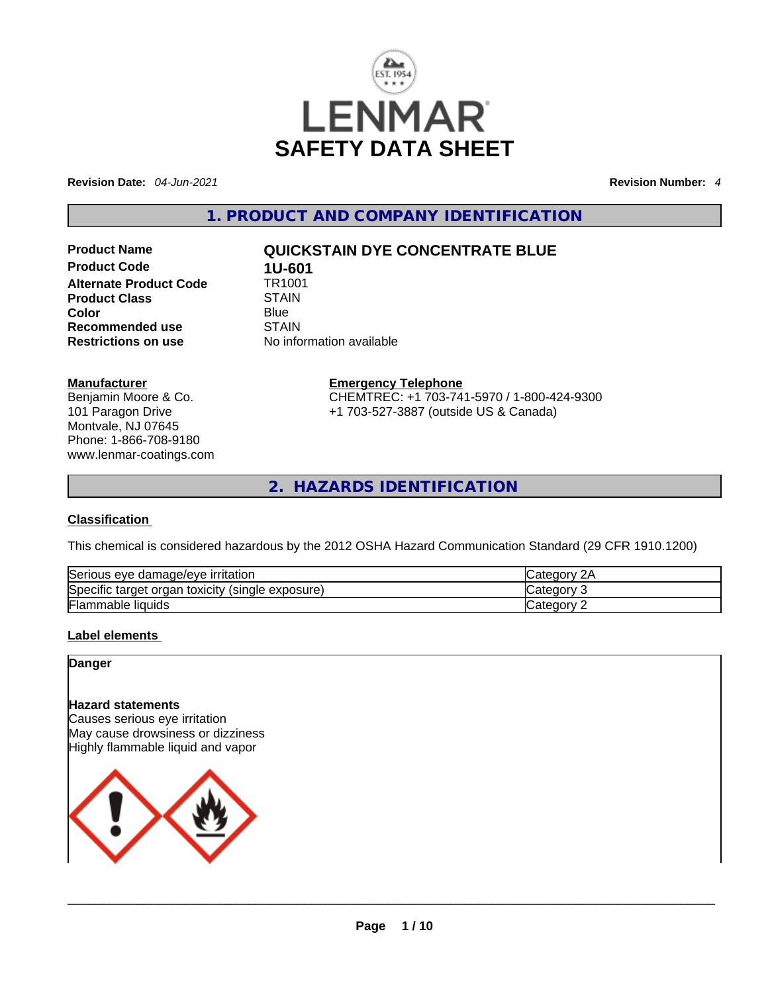

**Revision Date:** *04-Jun-2021* **Revision Number:** *4*

**1. PRODUCT AND COMPANY IDENTIFICATION** 

**Product Code 1U-601**<br>**Alternate Product Code** TR1001 **Alternate Product Code 6 TR100**<br>Product Class STAIN **Product Class**<br>Color **Recommended use** STAIN

# **Product Name QUICKSTAIN DYE CONCENTRATE BLUE**

**Color** Blue Blue **Blue Restrictions on use** No information available

**Manufacturer**

Benjamin Moore & Co. 101 Paragon Drive Montvale, NJ 07645 Phone: 1-866-708-9180 www.lenmar-coatings.com **Emergency Telephone** CHEMTREC: +1 703-741-5970 / 1-800-424-9300 +1 703-527-3887 (outside US & Canada)

**2. HAZARDS IDENTIFICATION** 

#### **Classification**

This chemical is considered hazardous by the 2012 OSHA Hazard Communication Standard (29 CFR 1910.1200)

| Serious eye damage/eye irritation                   | 2Α<br><b>ICategory</b> |
|-----------------------------------------------------|------------------------|
| Specific target organ toxicity<br>(single exposure) | Category               |
| <b>Flammable liquids</b>                            | Category               |

# **Label elements**

### **Danger**

#### **Hazard statements**

Causes serious eye irritation May cause drowsiness or dizziness Highly flammable liquid and vapor

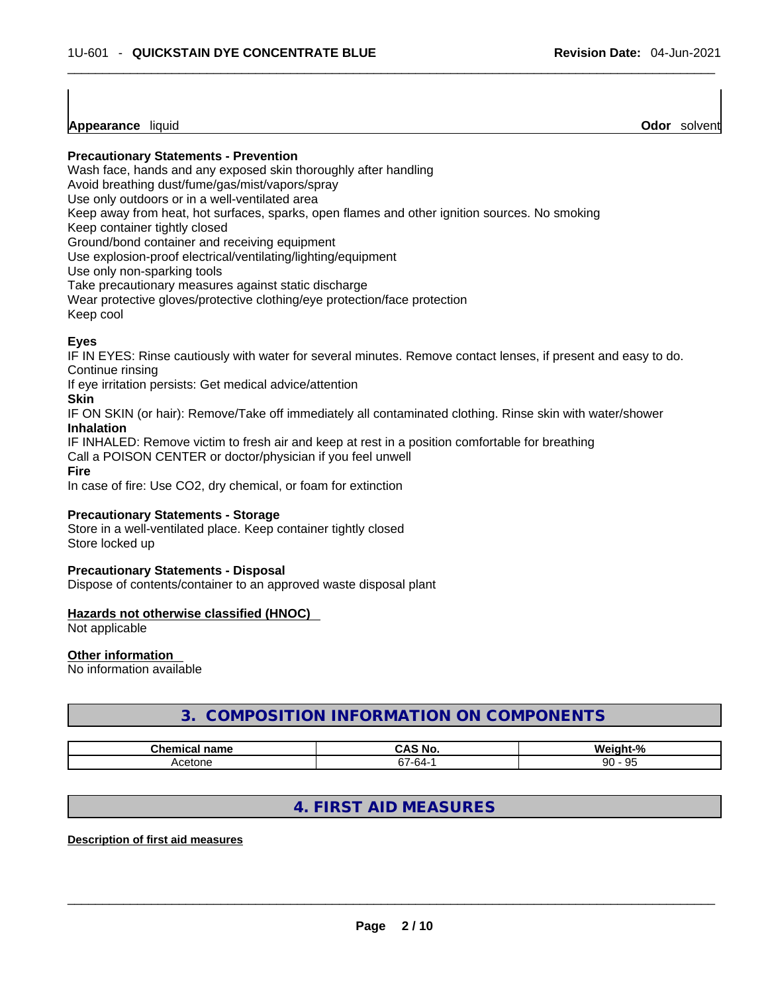**Appearance** liquid **Odor** *Solvent* **Appearance** liquid **Odor Odor Odor Odor Odor Odor Odor Odor Odor Odor Odor Odor Odor Odor Odor Odor Odor Odor Odor Odor Odor Odor Odor Odor** 

**Precautionary Statements - Prevention**

Wash face, hands and any exposed skin thoroughly after handling

Avoid breathing dust/fume/gas/mist/vapors/spray

Use only outdoors or in a well-ventilated area

Keep away from heat, hot surfaces, sparks, open flames and other ignition sources. No smoking

Keep container tightly closed

Ground/bond container and receiving equipment

Use explosion-proof electrical/ventilating/lighting/equipment

Use only non-sparking tools

Take precautionary measures against static discharge

Wear protective gloves/protective clothing/eye protection/face protection

Keep cool

# **Eyes**

IF IN EYES: Rinse cautiously with water for several minutes. Remove contact lenses, if present and easy to do. Continue rinsing

If eye irritation persists: Get medical advice/attention

### **Skin**

IF ON SKIN (or hair): Remove/Take off immediately all contaminated clothing. Rinse skin with water/shower **Inhalation**

IF INHALED: Remove victim to fresh air and keep at rest in a position comfortable for breathing

Call a POISON CENTER or doctor/physician if you feel unwell

**Fire**

In case of fire: Use CO2, dry chemical, or foam for extinction

# **Precautionary Statements - Storage**

Store in a well-ventilated place. Keep container tightly closed Store locked up

#### **Precautionary Statements - Disposal**

Dispose of contents/container to an approved waste disposal plant

# **Hazards not otherwise classified (HNOC)**

Not applicable

# **Other information**

No information available

# **3. COMPOSITION INFORMATION ON COMPONENTS**

| -- - --- -<br>ne | ----<br>NC             | . 07<br>AM.<br>70    |
|------------------|------------------------|----------------------|
|                  | $\sim$<br>⋰<br>$\cdot$ | $\Omega$<br>90<br>ັບ |

# **4. FIRST AID MEASURES**

#### **Description of first aid measures**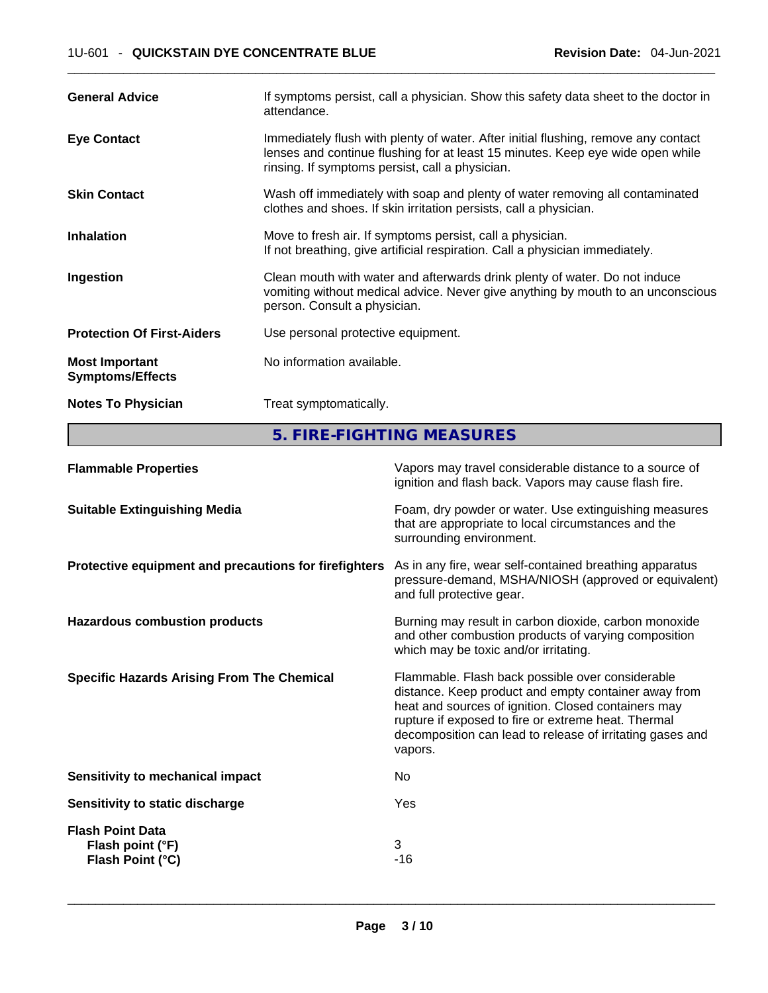| <b>General Advice</b>                            | If symptoms persist, call a physician. Show this safety data sheet to the doctor in<br>attendance.                                                                                                                      |
|--------------------------------------------------|-------------------------------------------------------------------------------------------------------------------------------------------------------------------------------------------------------------------------|
| <b>Eye Contact</b>                               | Immediately flush with plenty of water. After initial flushing, remove any contact<br>lenses and continue flushing for at least 15 minutes. Keep eye wide open while<br>rinsing. If symptoms persist, call a physician. |
| <b>Skin Contact</b>                              | Wash off immediately with soap and plenty of water removing all contaminated<br>clothes and shoes. If skin irritation persists, call a physician.                                                                       |
| <b>Inhalation</b>                                | Move to fresh air. If symptoms persist, call a physician.<br>If not breathing, give artificial respiration. Call a physician immediately.                                                                               |
| Ingestion                                        | Clean mouth with water and afterwards drink plenty of water. Do not induce<br>vomiting without medical advice. Never give anything by mouth to an unconscious<br>person. Consult a physician.                           |
| <b>Protection Of First-Aiders</b>                | Use personal protective equipment.                                                                                                                                                                                      |
| <b>Most Important</b><br><b>Symptoms/Effects</b> | No information available.                                                                                                                                                                                               |
| <b>Notes To Physician</b>                        | Treat symptomatically.                                                                                                                                                                                                  |

**5. FIRE-FIGHTING MEASURES** 

| <b>Flammable Properties</b>                                     | Vapors may travel considerable distance to a source of<br>ignition and flash back. Vapors may cause flash fire.                                                                                                                                                                                |
|-----------------------------------------------------------------|------------------------------------------------------------------------------------------------------------------------------------------------------------------------------------------------------------------------------------------------------------------------------------------------|
| <b>Suitable Extinguishing Media</b>                             | Foam, dry powder or water. Use extinguishing measures<br>that are appropriate to local circumstances and the<br>surrounding environment.                                                                                                                                                       |
| Protective equipment and precautions for firefighters           | As in any fire, wear self-contained breathing apparatus<br>pressure-demand, MSHA/NIOSH (approved or equivalent)<br>and full protective gear.                                                                                                                                                   |
| <b>Hazardous combustion products</b>                            | Burning may result in carbon dioxide, carbon monoxide<br>and other combustion products of varying composition<br>which may be toxic and/or irritating.                                                                                                                                         |
| <b>Specific Hazards Arising From The Chemical</b>               | Flammable. Flash back possible over considerable<br>distance. Keep product and empty container away from<br>heat and sources of ignition. Closed containers may<br>rupture if exposed to fire or extreme heat. Thermal<br>decomposition can lead to release of irritating gases and<br>vapors. |
| <b>Sensitivity to mechanical impact</b>                         | No.                                                                                                                                                                                                                                                                                            |
| Sensitivity to static discharge                                 | Yes                                                                                                                                                                                                                                                                                            |
| <b>Flash Point Data</b><br>Flash point (°F)<br>Flash Point (°C) | 3<br>$-16$                                                                                                                                                                                                                                                                                     |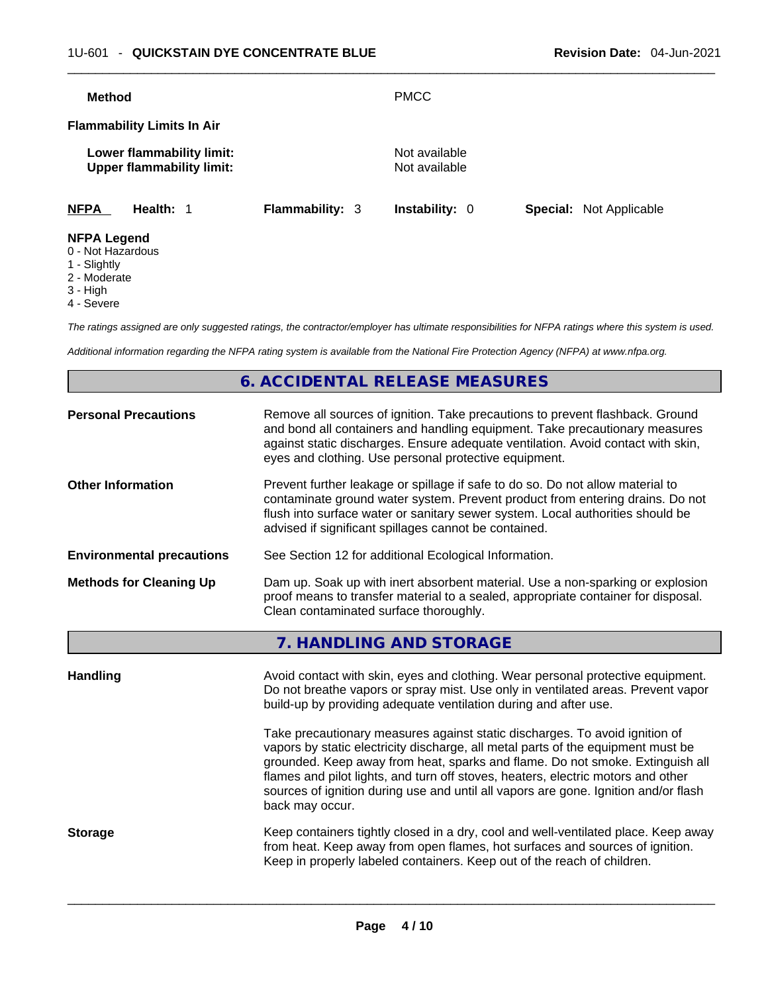| <b>Method</b>                           |                                                               |                        | <b>PMCC</b>                    |                                |
|-----------------------------------------|---------------------------------------------------------------|------------------------|--------------------------------|--------------------------------|
| <b>Flammability Limits In Air</b>       |                                                               |                        |                                |                                |
|                                         | Lower flammability limit:<br><b>Upper flammability limit:</b> |                        | Not available<br>Not available |                                |
| <b>NFPA</b>                             | Health: 1                                                     | <b>Flammability: 3</b> | <b>Instability: 0</b>          | <b>Special: Not Applicable</b> |
| <b>NFPA Legend</b><br>0 - Not Hazardous |                                                               |                        |                                |                                |

- 1 Slightly
- 2 Moderate
- 3 High
- 4 Severe

*The ratings assigned are only suggested ratings, the contractor/employer has ultimate responsibilities for NFPA ratings where this system is used.* 

*Additional information regarding the NFPA rating system is available from the National Fire Protection Agency (NFPA) at www.nfpa.org.* 

# **6. ACCIDENTAL RELEASE MEASURES**

| <b>Personal Precautions</b>      | Remove all sources of ignition. Take precautions to prevent flashback. Ground<br>and bond all containers and handling equipment. Take precautionary measures<br>against static discharges. Ensure adequate ventilation. Avoid contact with skin,<br>eyes and clothing. Use personal protective equipment.                                                                                                                                                                                   |
|----------------------------------|---------------------------------------------------------------------------------------------------------------------------------------------------------------------------------------------------------------------------------------------------------------------------------------------------------------------------------------------------------------------------------------------------------------------------------------------------------------------------------------------|
| <b>Other Information</b>         | Prevent further leakage or spillage if safe to do so. Do not allow material to<br>contaminate ground water system. Prevent product from entering drains. Do not<br>flush into surface water or sanitary sewer system. Local authorities should be<br>advised if significant spillages cannot be contained.                                                                                                                                                                                  |
| <b>Environmental precautions</b> | See Section 12 for additional Ecological Information.                                                                                                                                                                                                                                                                                                                                                                                                                                       |
| <b>Methods for Cleaning Up</b>   | Dam up. Soak up with inert absorbent material. Use a non-sparking or explosion<br>proof means to transfer material to a sealed, appropriate container for disposal.<br>Clean contaminated surface thoroughly.                                                                                                                                                                                                                                                                               |
|                                  | 7. HANDLING AND STORAGE                                                                                                                                                                                                                                                                                                                                                                                                                                                                     |
| <b>Handling</b>                  | Avoid contact with skin, eyes and clothing. Wear personal protective equipment.<br>Do not breathe vapors or spray mist. Use only in ventilated areas. Prevent vapor<br>build-up by providing adequate ventilation during and after use.<br>Take precautionary measures against static discharges. To avoid ignition of<br>vapors by static electricity discharge, all metal parts of the equipment must be<br>grounded. Keep away from heat, sparks and flame. Do not smoke. Extinguish all |
|                                  | flames and pilot lights, and turn off stoves, heaters, electric motors and other<br>sources of ignition during use and until all vapors are gone. Ignition and/or flash<br>back may occur.                                                                                                                                                                                                                                                                                                  |
| <b>Storage</b>                   | Keep containers tightly closed in a dry, cool and well-ventilated place. Keep away<br>from heat. Keep away from open flames, hot surfaces and sources of ignition.<br>Keep in properly labeled containers. Keep out of the reach of children.                                                                                                                                                                                                                                               |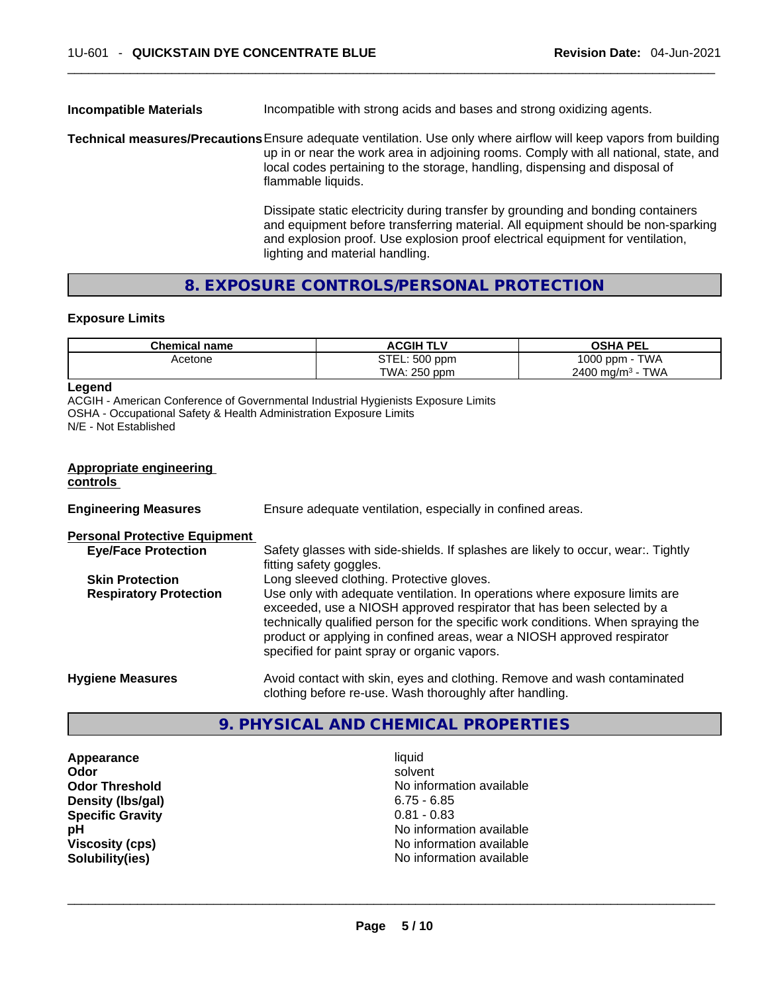# **Incompatible Materials** Incompatible with strong acids and bases and strong oxidizing agents.

**Technical measures/Precautions**Ensure adequate ventilation. Use only where airflow will keep vapors from building up in or near the work area in adjoining rooms. Comply with all national, state, and local codes pertaining to the storage, handling, dispensing and disposal of flammable liquids.

> Dissipate static electricity during transfer by grounding and bonding containers and equipment before transferring material. All equipment should be non-sparking and explosion proof. Use explosion proof electrical equipment for ventilation, lighting and material handling.

# **8. EXPOSURE CONTROLS/PERSONAL PROTECTION**

#### **Exposure Limits**

| <b>Chemical name</b> | <b>ACGIH TLV</b> | <b>OSHA PEL</b>                          |
|----------------------|------------------|------------------------------------------|
| Acetone              | STEL: 500 ppm    | 1000 ppm -<br><b>TWA</b>                 |
|                      | TWA: 250 ppm     | <b>TWA</b><br>$2400$ mg/m <sup>3</sup> - |

#### **Legend**

ACGIH - American Conference of Governmental Industrial Hygienists Exposure Limits OSHA - Occupational Safety & Health Administration Exposure Limits N/E - Not Established

#### **Appropriate engineering controls**

| <b>Engineering Measures</b>          | Ensure adequate ventilation, especially in confined areas.                                                                                                                                                                                                                                                                                                          |
|--------------------------------------|---------------------------------------------------------------------------------------------------------------------------------------------------------------------------------------------------------------------------------------------------------------------------------------------------------------------------------------------------------------------|
| <b>Personal Protective Equipment</b> |                                                                                                                                                                                                                                                                                                                                                                     |
| <b>Eye/Face Protection</b>           | Safety glasses with side-shields. If splashes are likely to occur, wear:. Tightly<br>fitting safety goggles.                                                                                                                                                                                                                                                        |
| <b>Skin Protection</b>               | Long sleeved clothing. Protective gloves.                                                                                                                                                                                                                                                                                                                           |
| <b>Respiratory Protection</b>        | Use only with adequate ventilation. In operations where exposure limits are<br>exceeded, use a NIOSH approved respirator that has been selected by a<br>technically qualified person for the specific work conditions. When spraying the<br>product or applying in confined areas, wear a NIOSH approved respirator<br>specified for paint spray or organic vapors. |
| <b>Hygiene Measures</b>              | Avoid contact with skin, eyes and clothing. Remove and wash contaminated<br>clothing before re-use. Wash thoroughly after handling.                                                                                                                                                                                                                                 |

# **9. PHYSICAL AND CHEMICAL PROPERTIES**

**Appearance** liquid **Density (lbs/gal)** 6.75 - 6.85 **Specific Gravity** 0.81 - 0.83

**Odor Solvent Solvent Solvent Solvent Odor Threshold** No information available **pH pH No** information available **Viscosity (cps) No information available No** information available **Solubility(ies)** No information available \_\_\_\_\_\_\_\_\_\_\_\_\_\_\_\_\_\_\_\_\_\_\_\_\_\_\_\_\_\_\_\_\_\_\_\_\_\_\_\_\_\_\_\_\_\_\_\_\_\_\_\_\_\_\_\_\_\_\_\_\_\_\_\_\_\_\_\_\_\_\_\_\_\_\_\_\_\_\_\_\_\_\_\_\_\_\_\_\_\_\_\_\_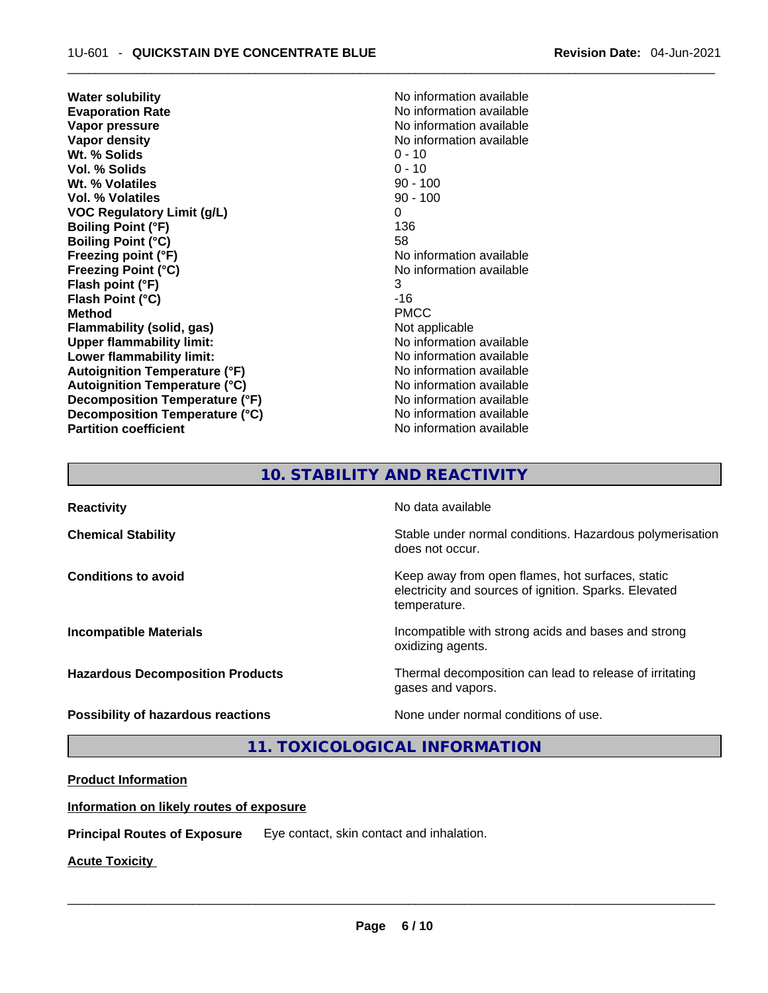**Water solubility No information available No information available Evaporation Rate No information available No information available Vapor pressure**  No information available **Vapor density No information available No** information available **Wt. % Solids** 0 - 10 **Vol. % Solids** 0 - 10 **Wt. % Volatiles** 90 - 100 **Vol. % Volatiles VOC Regulatory Limit (g/L)** 0 **Boiling Point (°F) Boiling Point (°C)** 58 **Freezing point (°F)**<br> **Freezing Point (°C)**<br> **Freezing Point (°C)**<br> **No information available Flash point (°F)** 3 **Flash Point (°C)** -16 **Method** PMCC **Flammability (solid, gas)** Not applicable **Upper flammability limit:** No information available **Lower flammability limit:** No information available **Lower** flammability limit: **Autoignition Temperature (°F)** No information available **Autoignition Temperature (°C)** No information available **Decomposition Temperature (°F)** No information available **Decomposition Temperature (°C)** No information available **Partition coefficient Contract Community No information available** 

**Freezing Point (°C)** No information available

# **10. STABILITY AND REACTIVITY**

**Reactivity No data available Chemical Stability Stability** Stable under normal conditions. Hazardous polymerisation does not occur. **Conditions to avoid** Conditions **to Avoid** Keep away from open flames, hot surfaces, static electricity and sources of ignition. Sparks. Elevated temperature. **Incompatible Materials Incompatible with strong acids and bases and strong** oxidizing agents. **Hazardous Decomposition Products** Thermal decomposition can lead to release of irritating gases and vapors. **Possibility of hazardous reactions** None under normal conditions of use.

**11. TOXICOLOGICAL INFORMATION** 

# **Product Information**

#### **Information on likely routes of exposure**

**Principal Routes of Exposure** Eye contact, skin contact and inhalation.

**Acute Toxicity**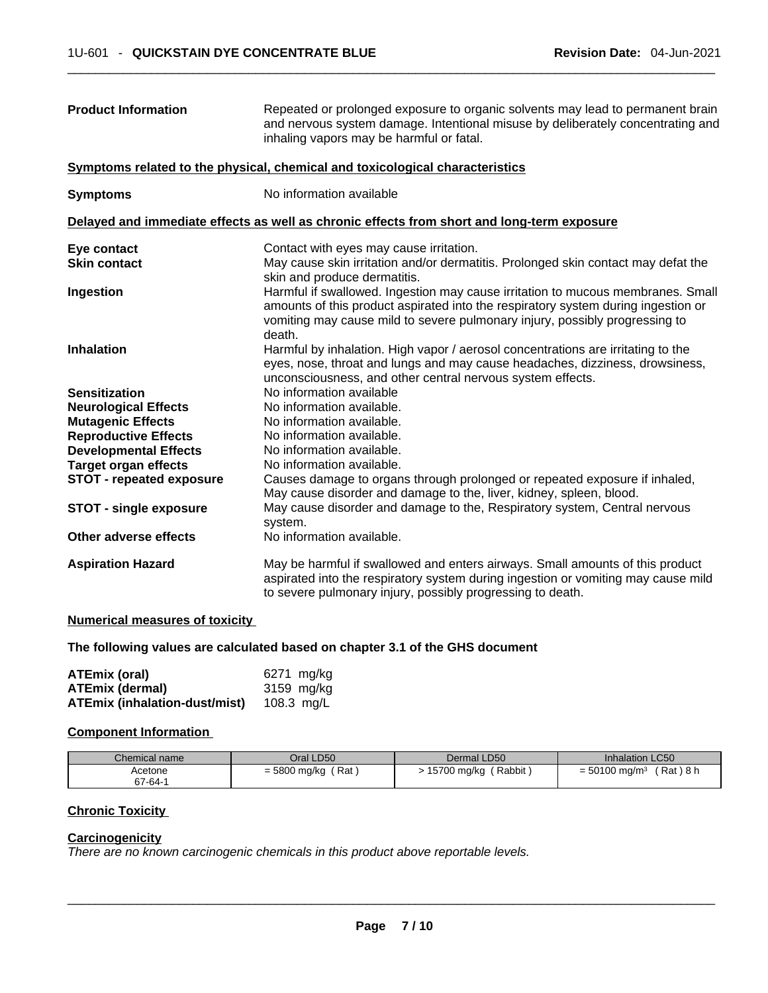| <b>Product Information</b>             | Repeated or prolonged exposure to organic solvents may lead to permanent brain<br>and nervous system damage. Intentional misuse by deliberately concentrating and<br>inhaling vapors may be harmful or fatal.                                                 |  |
|----------------------------------------|---------------------------------------------------------------------------------------------------------------------------------------------------------------------------------------------------------------------------------------------------------------|--|
|                                        | Symptoms related to the physical, chemical and toxicological characteristics                                                                                                                                                                                  |  |
| <b>Symptoms</b>                        | No information available                                                                                                                                                                                                                                      |  |
|                                        | Delayed and immediate effects as well as chronic effects from short and long-term exposure                                                                                                                                                                    |  |
| Eye contact                            | Contact with eyes may cause irritation.                                                                                                                                                                                                                       |  |
| <b>Skin contact</b>                    | May cause skin irritation and/or dermatitis. Prolonged skin contact may defat the<br>skin and produce dermatitis.                                                                                                                                             |  |
| Ingestion                              | Harmful if swallowed. Ingestion may cause irritation to mucous membranes. Small<br>amounts of this product aspirated into the respiratory system during ingestion or<br>vomiting may cause mild to severe pulmonary injury, possibly progressing to<br>death. |  |
| <b>Inhalation</b>                      | Harmful by inhalation. High vapor / aerosol concentrations are irritating to the<br>eyes, nose, throat and lungs and may cause headaches, dizziness, drowsiness,<br>unconsciousness, and other central nervous system effects.                                |  |
| <b>Sensitization</b>                   | No information available                                                                                                                                                                                                                                      |  |
| <b>Neurological Effects</b>            | No information available.                                                                                                                                                                                                                                     |  |
| <b>Mutagenic Effects</b>               | No information available.                                                                                                                                                                                                                                     |  |
| <b>Reproductive Effects</b>            | No information available.                                                                                                                                                                                                                                     |  |
| <b>Developmental Effects</b>           | No information available.                                                                                                                                                                                                                                     |  |
| <b>Target organ effects</b>            | No information available.                                                                                                                                                                                                                                     |  |
| <b>STOT - repeated exposure</b>        | Causes damage to organs through prolonged or repeated exposure if inhaled,<br>May cause disorder and damage to the, liver, kidney, spleen, blood.                                                                                                             |  |
| <b>STOT - single exposure</b>          | May cause disorder and damage to the, Respiratory system, Central nervous<br>system.                                                                                                                                                                          |  |
| Other adverse effects                  | No information available.                                                                                                                                                                                                                                     |  |
| <b>Aspiration Hazard</b>               | May be harmful if swallowed and enters airways. Small amounts of this product<br>aspirated into the respiratory system during ingestion or vomiting may cause mild<br>to severe pulmonary injury, possibly progressing to death.                              |  |
| hlannands al massacrossa af teachaitea |                                                                                                                                                                                                                                                               |  |

#### **Numerical measures of toxicity**

### **The following values are calculated based on chapter 3.1 of the GHS document**

| ATEmix (oral)                        | 6271 mg/kg |
|--------------------------------------|------------|
| <b>ATEmix (dermal)</b>               | 3159 mg/kg |
| <b>ATEmix (inhalation-dust/mist)</b> | 108.3 mg/L |

### **Component Information**

| Chemical name | Oral LD50           | Dermal LD50             | <b>Inhalation LC50</b>                   |
|---------------|---------------------|-------------------------|------------------------------------------|
| Acetone       | Rat<br>= 5800 mg/kg | (Rabbit)<br>15700 mg/kg | Rat ) 8 h<br>$= 50100$ mg/m <sup>3</sup> |
| 67-64-1       |                     |                         |                                          |

# **Chronic Toxicity**

#### **Carcinogenicity**

*There are no known carcinogenic chemicals in this product above reportable levels.*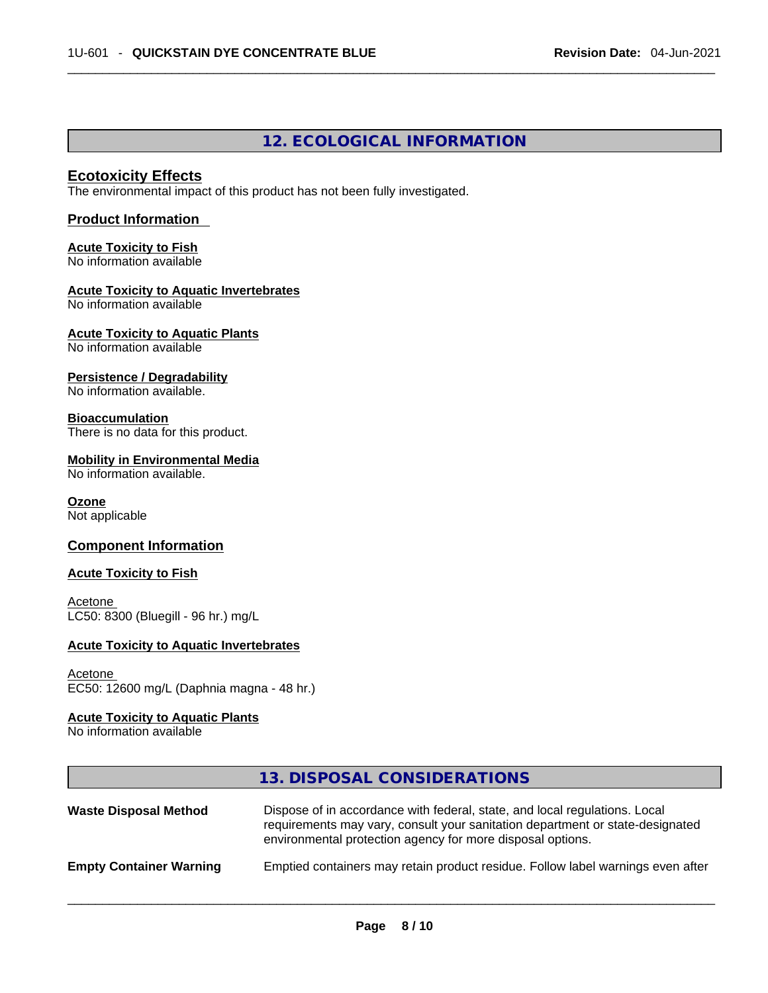# **12. ECOLOGICAL INFORMATION**

### **Ecotoxicity Effects**

The environmental impact of this product has not been fully investigated.

### **Product Information**

# **Acute Toxicity to Fish**

No information available

### **Acute Toxicity to Aquatic Invertebrates**

No information available

#### **Acute Toxicity to Aquatic Plants** No information available

### **Persistence / Degradability**

No information available.

### **Bioaccumulation**

There is no data for this product.

#### **Mobility in Environmental Media**

No information available.

#### **Ozone**

Not applicable

# **Component Information**

#### **Acute Toxicity to Fish**

**Acetone** LC50: 8300 (Bluegill - 96 hr.) mg/L

#### **Acute Toxicity to Aquatic Invertebrates**

#### Acetone EC50: 12600 mg/L (Daphnia magna - 48 hr.)

#### **Acute Toxicity to Aquatic Plants**

No information available

|                                | 13. DISPOSAL CONSIDERATIONS                                                                                                                                                                                               |
|--------------------------------|---------------------------------------------------------------------------------------------------------------------------------------------------------------------------------------------------------------------------|
| <b>Waste Disposal Method</b>   | Dispose of in accordance with federal, state, and local regulations. Local<br>requirements may vary, consult your sanitation department or state-designated<br>environmental protection agency for more disposal options. |
| <b>Empty Container Warning</b> | Emptied containers may retain product residue. Follow label warnings even after                                                                                                                                           |
|                                |                                                                                                                                                                                                                           |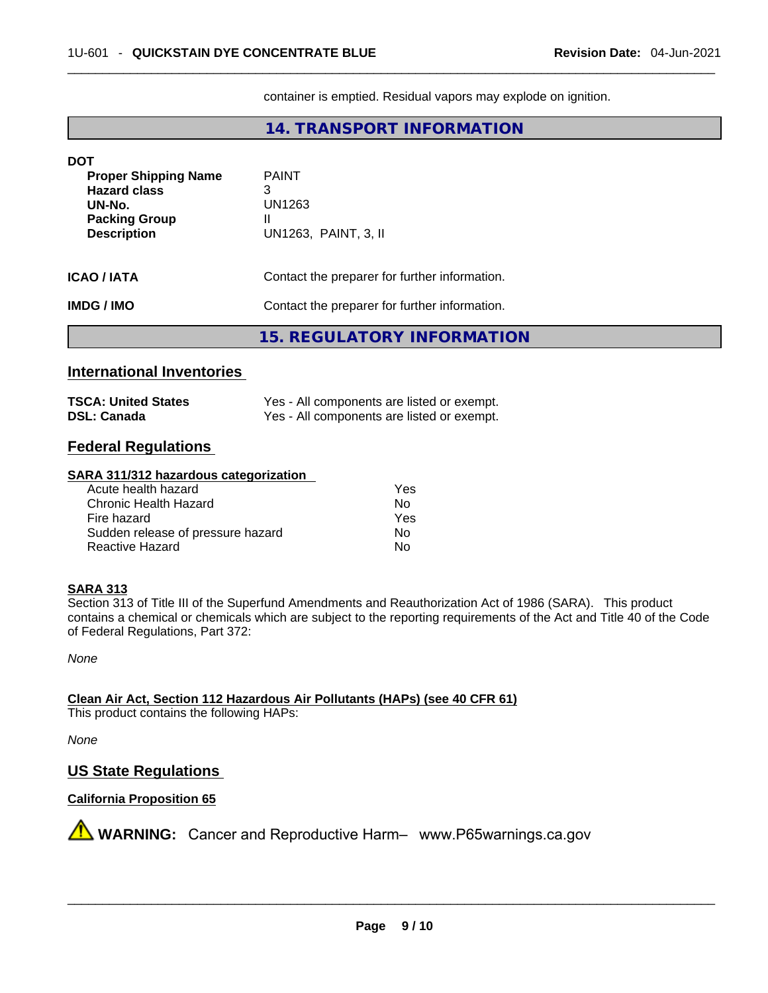container is emptied. Residual vapors may explode on ignition.

# **14. TRANSPORT INFORMATION**

| <b>DOT</b>                                                                                                 |                                                          |  |
|------------------------------------------------------------------------------------------------------------|----------------------------------------------------------|--|
| <b>Proper Shipping Name</b><br><b>Hazard class</b><br>UN-No.<br><b>Packing Group</b><br><b>Description</b> | <b>PAINT</b><br>3<br>UN1263<br>Ш<br>UN1263, PAINT, 3, II |  |
| <b>ICAO/IATA</b>                                                                                           | Contact the preparer for further information.            |  |
| <b>IMDG / IMO</b>                                                                                          | Contact the preparer for further information.            |  |
|                                                                                                            | 15. REGULATORY INFORMATION                               |  |

# **International Inventories**

| <b>TSCA: United States</b> | Yes - All components are listed or exempt. |
|----------------------------|--------------------------------------------|
| <b>DSL: Canada</b>         | Yes - All components are listed or exempt. |

# **Federal Regulations**

#### **SARA 311/312 hazardous categorization**

| Acute health hazard               | Yes |
|-----------------------------------|-----|
| Chronic Health Hazard             | Nο  |
| Fire hazard                       | Yes |
| Sudden release of pressure hazard | Nο  |
| Reactive Hazard                   | No  |

#### **SARA 313**

Section 313 of Title III of the Superfund Amendments and Reauthorization Act of 1986 (SARA). This product contains a chemical or chemicals which are subject to the reporting requirements of the Act and Title 40 of the Code of Federal Regulations, Part 372:

*None*

**Clean Air Act,Section 112 Hazardous Air Pollutants (HAPs) (see 40 CFR 61)**

This product contains the following HAPs:

*None*

# **US State Regulations**

# **California Proposition 65**

**AVIMARNING:** Cancer and Reproductive Harm– www.P65warnings.ca.gov